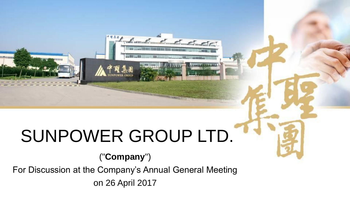# SUNPOWER GROUP LTD.

deal dd dd

## ("**Company**")

For Discussion at the Company's Annual General Meeting on 26 April 2017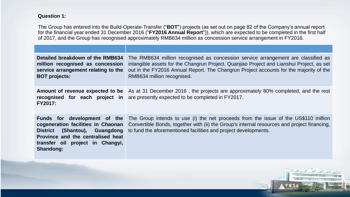### **Question 1:**

The Group has entered into the Build-Operate-Transfer ("**BOT**") projects (as set out on page 82 of the Company's annual report for the financial year ended 31 December 2016 ("**FY2016 Annual Report**")), which are expected to be completed in the first half of 2017, and the Group has recognised approximately RMB634 million as concession service arrangement in FY2016.

| Detailed breakdown of the RMB634<br>million recognised as concession<br>service arrangement relating to the<br><b>BOT projects:</b>                      | The RMB634 million recognised as concession service arrangement are classified as<br>intangible assets for the Changrun Project, Quanjiao Project and Lianshui Project, as set<br>out in the FY2016 Annual Report. The Changrun Project accounts for the majority of the<br>RMB634 million recognised. |
|----------------------------------------------------------------------------------------------------------------------------------------------------------|--------------------------------------------------------------------------------------------------------------------------------------------------------------------------------------------------------------------------------------------------------------------------------------------------------|
| <b>FY2017:</b>                                                                                                                                           | <b>Amount of revenue expected to be</b> As at 31 December 2016, the projects are approximately 80% completed, and the rest<br><b>recognised</b> for each project in are presently expected to be completed in FY2017.                                                                                  |
| Funds for development of the<br>cogeneration facilities in Chaonan<br>Province and the centralised heat<br>transfer oil project in Changyi,<br>Shandong: | The Group intends to use (i) the net proceeds from the issue of the US\$110 million<br>Convertible Bonds, together with (ii) the Group's internal resources and project financing,<br><b>District</b> (Shantou), Guangdong to fund the aforementioned facilities and project developments.             |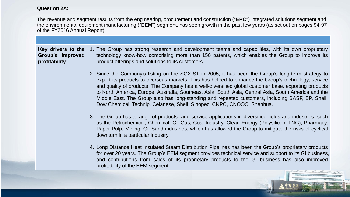#### **Question 2A:**

The revenue and segment results from the engineering, procurement and construction ("**EPC**") integrated solutions segment and the environmental equipment manufacturing ("**EEM**") segment, has seen growth in the past few years (as set out on pages 94-97 of the FY2016 Annual Report).

**Key drivers to the Group's improved profitability:** 1. The Group has strong research and development teams and capabilities, with its own proprietary technology know-how comprising more than 150 patents, which enables the Group to improve its product offerings and solutions to its customers.

- 2. Since the Company's listing on the SGX-ST in 2005, it has been the Group's long-term strategy to export its products to overseas markets. This has helped to enhance the Group's technology, service and quality of products. The Company has a well-diversified global customer base, exporting products to North America, Europe, Australia, Southeast Asia, South Asia, Central Asia, South America and the Middle East. The Group also has long-standing and repeated customers, including BASF, BP, Shell, Dow Chemical, Technip, Celanese, Shell, Sinopec, CNPC, CNOOC, Shenhua.
- 3. The Group has a range of products and service applications in diversified fields and industries, such as the Petrochemical, Chemical, Oil Gas, Coal Industry, Clean Energy (Polysilicon, LNG), Pharmacy, Paper Pulp, Mining, Oil Sand industries, which has allowed the Group to mitigate the risks of cyclical downturn in a particular industry.
- 4. Long Distance Heat Insulated Steam Distribution Pipelines has been the Group's proprietary products for over 20 years. The Group's EEM segment provides technical service and support to its GI business, and contributions from sales of its proprietary products to the GI business has also improved profitability of the EEM segment.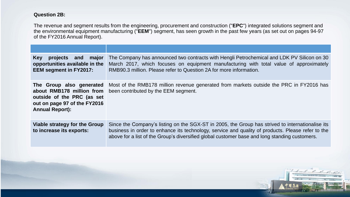#### **Question 2B:**

The revenue and segment results from the engineering, procurement and construction ("**EPC**") integrated solutions segment and the environmental equipment manufacturing ("**EEM**") segment, has seen growth in the past few years (as set out on pages 94-97 of the FY2016 Annual Report).

| projects and major<br><b>Key</b><br>opportunities available in the<br><b>EEM segment in FY2017:</b>                                           | The Company has announced two contracts with Hengli Petrochemical and LDK PV Silicon on 30<br>March 2017, which focuses on equipment manufacturing with total value of approximately<br>RMB90.3 million. Please refer to Question 2A for more information.                                             |
|-----------------------------------------------------------------------------------------------------------------------------------------------|--------------------------------------------------------------------------------------------------------------------------------------------------------------------------------------------------------------------------------------------------------------------------------------------------------|
| The Group also generated<br>about RMB178 million from<br>outside of the PRC (as set<br>out on page 97 of the FY2016<br><b>Annual Report):</b> | Most of the RMB178 million revenue generated from markets outside the PRC in FY2016 has<br>been contributed by the EEM segment.                                                                                                                                                                        |
| Viable strategy for the Group<br>to increase its exports:                                                                                     | Since the Company's listing on the SGX-ST in 2005, the Group has strived to internationalise its<br>business in order to enhance its technology, service and quality of products. Please refer to the<br>above for a list of the Group's diversified global customer base and long standing customers. |
|                                                                                                                                               |                                                                                                                                                                                                                                                                                                        |